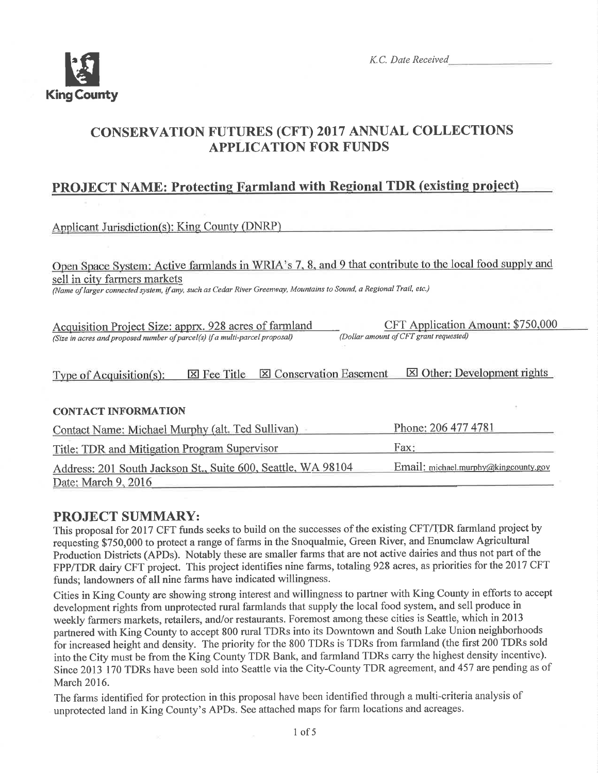

K.C. Date Received

## CONSERVATION FUTURES (CFT) 2017 ANNUAL COLLECTIONS APPLICATION FOR FUNDS

## PROJECT NAME: Protecting Farmland with Regional TDR (existing project)

Applicant Jurisdiction(s): King County (DNRP)

ve farmlands in WRIA's 7, 8, and 9 that sell in city farmers markets

(Name of larger connected system, iÍany, such as Cedar River Greenvay, Mountains to Sound, a Regional Trail, etc.)

| Acquisition Project Size: apprx. 928 acres of farmland                      | CFT Application Amount: \$750,000      |
|-----------------------------------------------------------------------------|----------------------------------------|
| (Size in acres and proposed number of parcel(s) if a multi-parcel proposal) | (Dollar amount of CFT grant requested) |

Type of Acquisition(s):  $\boxtimes$  Fee Title  $\boxtimes$  Conservation Easement  $\boxtimes$  Other: Development rights

### **CONTACT INFORMATION**

| Contact Name: Michael Murphy (alt. Ted Sullivan)             | Phone: 206 477 4781                  |
|--------------------------------------------------------------|--------------------------------------|
| Title: TDR and Mitigation Program Supervisor                 | Fax:                                 |
| Address: 201 South Jackson St., Suite 600, Seattle, WA 98104 | Email: michael.murphy@kingcounty.gov |
| Date: March 9, 2016                                          |                                      |

## PROJECT SUMMARY:

This proposal for 2017 CFT funds seeks to build on the successes of the existing CFT/TDR farmland project by requesting \$750,000 to protect a range of farms in the Snoqualmie, Green River, and Enumclaw Agricultural Production Districts (APDs). Notably these are smaller farms that are not active dairies and thus not part of the FPP/TDR dairy CFT project. This project identifies nine farms, totaling 928 acres, as priorities for the 2017 CFT funds; landowners of all nine farms have indicated willingness.

Cities in King County are showing strong interest and willingness to partner with King County in efforts to accept development rights from unprotected rural farmlands that supply the local food system, and sell produce in weekly farmers markets, retailers, and/or restaurants. Foremost among these cities is Seattle, which in 2013 partnered with King County to accept 800 rural TDRs into its Downtown and South Lake Union neighborhoods for increased height and density. The priority for the 800 TDRs is TDRs from farmland (the first 200 TDRs sold into the City must be from the King County TDR Bank, and farmland TDRs carry the highest density incentive). Since 2013 170 TDRs have been sold into Seattle via the City-County TDR agreement, and 457 are pending as of March 2016.

The farms identified for protection in this proposal have been identified through a multi-criteria analysis of unprotected land in King County's APDs. See attached maps for farm locations and acreages.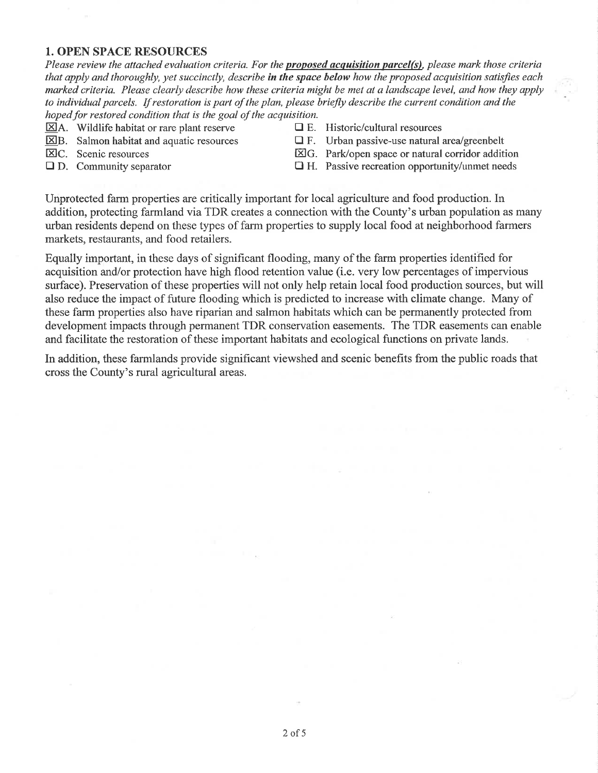#### 1. OPEN SPACE RESOURCES

Please review the attached evaluation criteria. For the **proposed acquisition parcel(s)**, please mark those criteria that apply and thoroughly, yet succinctly, describe in the space below how the proposed acquisition satisfies each marked criteria. Please clearly describe how these criteria might be met at a landscape level, and how they apply to individual parcels. If restoration is part of the plan, please briefly describe the cuwent conditìon and the hoped for restored condition that is the goal of the acquisition.

 $\boxtimes$ A. Wildlife habitat or rare plant reserve  $\Box$  E. Historic/cultural resources

- 
- 

- $\Sigma$ B. Salmon habitat and aquatic resources  $\Sigma$  F. Urban passive-use natural area/greenbelt<br> $\Sigma$ C. Scenic resources  $\Sigma$ G. Park/open space or natural corridor addit  $\boxtimes G$ . Park/open space or natural corridor addition
- $\Box$  D. Community separator  $\Box$  H. Passive recreation opportunity/unmet needs

Unprotected farm properties are critically important for local agriculture and food production. In addition, protecting farmland via TDR creates a connection with the County's urban population as many urban residents depend on these types of farm properties to supply local food at neighborhood farmers markets, restaurants, and food retailers.

Equally important, in these days of significant flooding, many of the farm properties identified for acquisition and/or protection have high flood retention value (i.e. very low percentages of impervious surface). Preservation of these properties will not only help retain local food production sources, but will also reduce the impact of future flooding which is predicted to increase with climate change. Many of these farm properties also have iparian and salmon habitats which can be permanently protected from development impacts through permanent TDR conservation easements. The TDR easements can enable and facilitate the restoration of these important habitats and ecological fimctions on private lands.

In addition, these farmlands provide significant viewshed and scenic benefits from the public roads that cross the County's rural agricultural areas.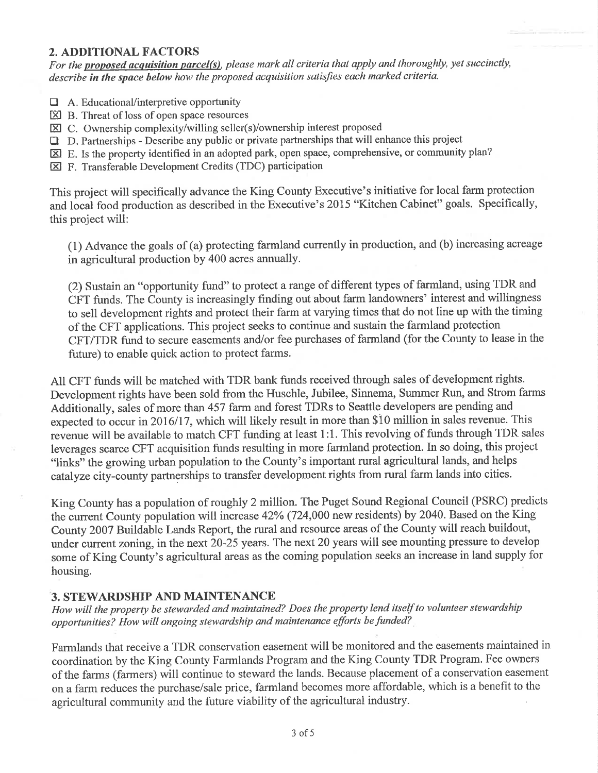### 2. ADDITIONAL FACTORS

For the proposed acquisition parcel(s), please mark all criteria that apply and thoroughly, yet succinctly, describe in the space below how the proposed acquisition satisfies each marked criteria.

- $\Box$  A. Educational/interpretive opportunity
- $\boxtimes$  B. Threat of loss of open space resources
- $\boxtimes$  C. Ownership complexity/willing seller(s)/ownership interest proposed
- $\Box$  D. Partnerships Describe any public or private partnerships that will enhance this project
- El E. Is the property identified in an adopted park, open space, comprehensive, or community plan?
- El F. Transferable Development Credits (TDC) participation

This project will specifically advance the King County Executive's initiative for local farm protection and local food production as described in the Executive's 2015 "Kitchen Cabinet" goals. Specifically, this project will:

(1) Advance the goals of (a) protecting farmland currently in production, and (b) increasing acreage in agricultural production by 400 acres annually.

(2) Sustain an "opportunity fund" to protect a range of different types of farmland, using TDR and CFT funds. The County is increasingly finding out about farm landowners' interest and willingness to sell development rights and protect their farm at varying times that do not line up with the timing of the CFT applications. This project seeks to continue and sustain the farmland protection CFT/TDR fund to secure easements and/or fee purchases of farmland (for the County to lease in the future) to enable quick action to protect farms.

All CFT funds will be matched with TDR bank funds received through sales of development rights. Development rights have been sold from the Huschle, Jubilee, Sinnema, Summer Run, and Strom farms Additionally, sales of more than 457 farm and forest TDRs to Seattle developers are pending and expected to occur in 2016/17, which will likely result in more than \$10 million in sales revenue. This revenue will be available to match CFT funding at least 1:1. This revolving of funds through TDR sales leverages scarce CFT acquisition funds resulting in more farmland protection. In so doing, this project "links" the growing urban population to the County's important rural agricultural lands, and helps catalyze city-county partnerships to transfer development rights from rural farm lands into cities.

King County has a population of roughly 2 million. The Puget Sound Regional Council (PSRC) predicts the current County population will increase 42Yo (724,000 new residents) by 2040. Based on the King County 2007 Buildable Lands Report, the rural and resource areas of the County will reach buildout, under current zoning, in the next 20-25 years. The next 20 years will see mounting pressure to develop some of King County's agricultural areas as the coming population seeks an increase in land supply for housing.

### 3. STEWARDSHIP AND MAINTENANCE

How will the property be stewarded and maintained? Does the property lend itself to volunteer stewardship opportunities? How will ongoing stewardship and maintenance efforts befunded?

Farmlands that receive a TDR conservation easement will be monitored and the easements maintained in coordination by the King County Farmlands Program and the King County TDR Program. Fee owners of the farms (farmers) will continue to steward the lands. Because placement of a conservation easement on a farm reduces the purchase/sale price, farmland becomes more affordable, which is a benefit to the agricultural community and the future viability of the agricultural industry.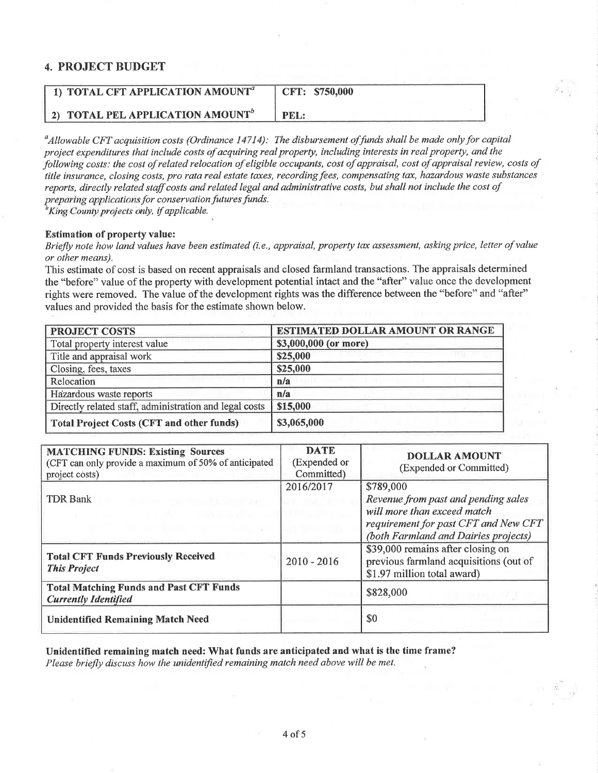### 4. PROJECT BUDGET

| 1) TOTAL CFT APPLICATION AMOUNT <sup>a</sup> | CFT: \$750,000 |
|----------------------------------------------|----------------|
| 2) TOTAL PEL APPLICATION AMOUNT <sup>o</sup> | PEL:           |

 $^a$ Allowable CFT acquisition costs (Ordinance 14714): The disbursement of funds shall be made only for capital project expenditures that include costs of acquiring real property, including interests in real property, and the þllowing costs: the cost of related relocation of eligible occupants, cost of appraisal, cost of appraisal review, costs of title insurance, closing costs, pro rata real estate taxes, recording fees, compensating tax, hazardous waste substances reports, directly related staff costs and related legal and administrative costs, but shall not include the cost of preparing applications for conservation futures funds.

<sup>b</sup>King County projects only, if applicable.

#### Estimation of property value:

Briefly note how land values have been estimated (i.e., appraisal, property tax assessment, asking price, letter of value or other means).

This estimate of cost is based on recent appraisals and closed farmland transactions. The appraisals determined the "before" value of the properly with development potential intact and the "after" value once the development rights were removed. The value of the development rights was the difference between the "before" and "after" values and provided the basis for the estimate shown below.

| <b>PROJECT COSTS</b>                                   | <b>ESTIMATED DOLLAR AMOUNT OR RANGE</b> |  |
|--------------------------------------------------------|-----------------------------------------|--|
| Total property interest value                          | \$3,000,000 (or more)                   |  |
| Title and appraisal work                               | \$25,000                                |  |
| Closing, fees, taxes                                   | \$25,000                                |  |
| Relocation                                             | n/a                                     |  |
| Hazardous waste reports                                | n/a                                     |  |
| Directly related staff, administration and legal costs | \$15,000                                |  |
| <b>Total Project Costs (CFT and other funds)</b>       | \$3,065,000                             |  |

| <b>MATCHING FUNDS: Existing Sources</b><br>(CFT can only provide a maximum of 50% of anticipated<br>project costs) | <b>DATE</b><br>(Expended or<br>Committed) | <b>DOLLAR AMOUNT</b><br>(Expended or Committed)                                                                                                                 |
|--------------------------------------------------------------------------------------------------------------------|-------------------------------------------|-----------------------------------------------------------------------------------------------------------------------------------------------------------------|
| <b>TDR Bank</b>                                                                                                    | 2016/2017                                 | \$789,000<br>Revenue from past and pending sales<br>will more than exceed match<br>requirement for past CFT and New CFT<br>(both Farmland and Dairies projects) |
| <b>Total CFT Funds Previously Received</b><br><b>This Project</b>                                                  | $2010 - 2016$                             | \$39,000 remains after closing on<br>previous farmland acquisitions (out of<br>\$1.97 million total award)                                                      |
| <b>Total Matching Funds and Past CFT Funds</b><br><b>Currently Identified</b>                                      |                                           | \$828,000                                                                                                                                                       |
| <b>Unidentified Remaining Match Need</b>                                                                           |                                           | \$0                                                                                                                                                             |

Unidentified remaining match need: What funds are anticipated and what is the time frame? Please briefly discuss how the unidentified remaining match need above will be met.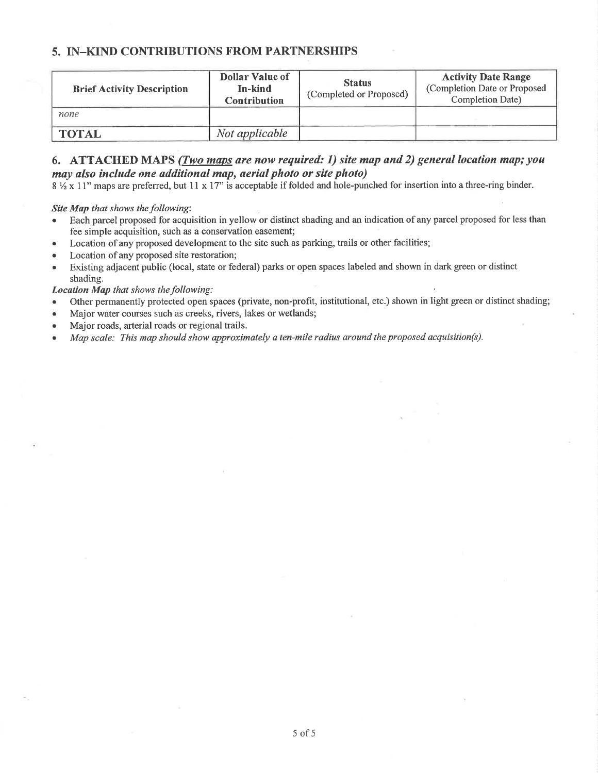### 5. IN\_KIND CONTRIBUTIONS FROM PARTNERSHIPS

| <b>Brief Activity Description</b> | <b>Dollar Value of</b><br>In-kind<br><b>Contribution</b> | <b>Status</b><br>(Completed or Proposed) | <b>Activity Date Range</b><br>(Completion Date or Proposed<br>Completion Date) |
|-----------------------------------|----------------------------------------------------------|------------------------------------------|--------------------------------------------------------------------------------|
| none                              |                                                          |                                          |                                                                                |
| TOTAL                             | Not applicable                                           |                                          |                                                                                |

#### 6. ATTACHED MAPS (*Two maps are now required: 1*) site map and 2) general location map; you may also include one additional map, aerial photo or site photo)

 $8\frac{1}{2}$  x 11" maps are preferred, but 11 x 17" is acceptable if folded and hole-punched for insertion into a three-ring binder.

Site Map that shows the following:

- . Each parcel proposed for acquisition in yellow or distinct shading and an indication ofany parcel proposed for less than fee simple acquisition, such as a conservation easement;
- Location of any proposed development to the site such as parking, trails or other facilities;
- Location of any proposed site restoration;
- o Existing adjacent public (local, state or federal) parks or open spaces labeled and shown in dark green or distinct shading.

Location Map that shows the following:

- o Other permanently protected open spaces (private, non-profit, institutional, etc.) shown in light green or distinct shading;
- . Major water courses such as creeks, rivers, lakes or wetlands;
- Major roads, arterial roads or regional trails.
- Map scale: This map should show approximately a ten-mile radius around the proposed acquisition(s).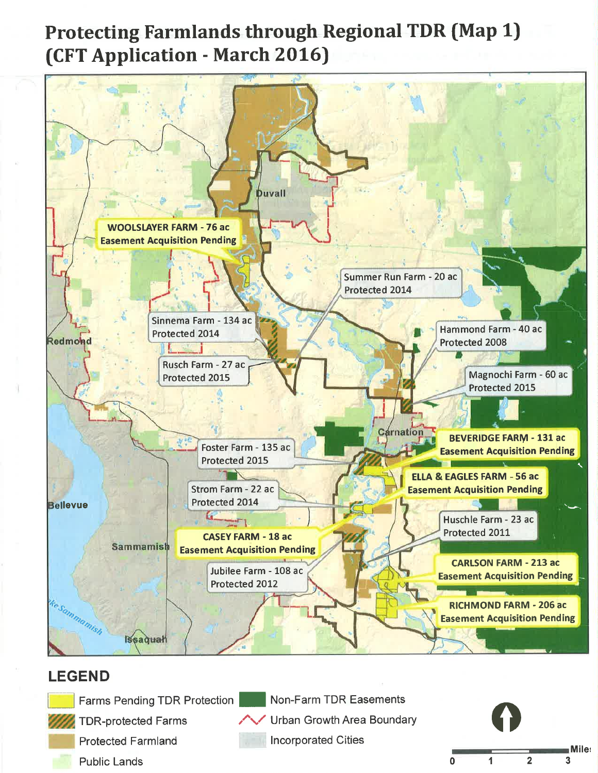# Protecting Farmlands through Regional TDR (Map 1) (CFT Application - March 2016)



 $\overline{\overline{\phantom{0}}}$ 

 $\mathbf 1$ 

 $\overline{2}$ 

3

Public Lands